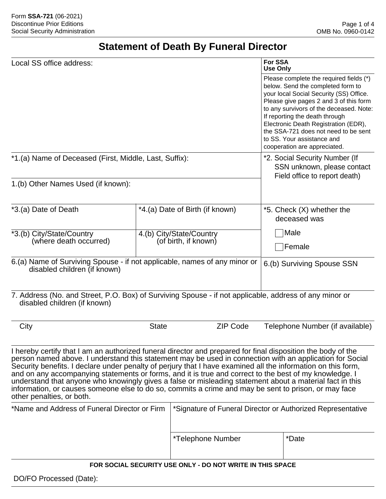# **Statement of Death By Funeral Director**

| Local SS office address:                                                                                                                                                                                                                                                                                                                                                                                                                                                                                                                                                                                                                                                                            |                                                             | For SSA<br><b>Use Only</b>                                |                                                                                                                                                                                                                                                                                                                                                                                              |  |  |
|-----------------------------------------------------------------------------------------------------------------------------------------------------------------------------------------------------------------------------------------------------------------------------------------------------------------------------------------------------------------------------------------------------------------------------------------------------------------------------------------------------------------------------------------------------------------------------------------------------------------------------------------------------------------------------------------------------|-------------------------------------------------------------|-----------------------------------------------------------|----------------------------------------------------------------------------------------------------------------------------------------------------------------------------------------------------------------------------------------------------------------------------------------------------------------------------------------------------------------------------------------------|--|--|
|                                                                                                                                                                                                                                                                                                                                                                                                                                                                                                                                                                                                                                                                                                     |                                                             |                                                           | Please complete the required fields (*)<br>below. Send the completed form to<br>your local Social Security (SS) Office.<br>Please give pages 2 and 3 of this form<br>to any survivors of the deceased. Note:<br>If reporting the death through<br>Electronic Death Registration (EDR),<br>the SSA-721 does not need to be sent<br>to SS. Your assistance and<br>cooperation are appreciated. |  |  |
| *1.(a) Name of Deceased (First, Middle, Last, Suffix):                                                                                                                                                                                                                                                                                                                                                                                                                                                                                                                                                                                                                                              |                                                             |                                                           | *2. Social Security Number (If<br>SSN unknown, please contact<br>Field office to report death)                                                                                                                                                                                                                                                                                               |  |  |
| 1.(b) Other Names Used (if known):                                                                                                                                                                                                                                                                                                                                                                                                                                                                                                                                                                                                                                                                  |                                                             |                                                           |                                                                                                                                                                                                                                                                                                                                                                                              |  |  |
| *3.(a) Date of Death                                                                                                                                                                                                                                                                                                                                                                                                                                                                                                                                                                                                                                                                                |                                                             | *4.(a) Date of Birth (if known)                           | *5. Check (X) whether the<br>deceased was                                                                                                                                                                                                                                                                                                                                                    |  |  |
| *3.(b) City/State/Country<br>(where death occurred)                                                                                                                                                                                                                                                                                                                                                                                                                                                                                                                                                                                                                                                 | 4.(b) City/State/Country<br>(of birth, if known)            |                                                           | Male<br>Female                                                                                                                                                                                                                                                                                                                                                                               |  |  |
| 6.(a) Name of Surviving Spouse - if not applicable, names of any minor or<br>disabled children (if known)                                                                                                                                                                                                                                                                                                                                                                                                                                                                                                                                                                                           |                                                             |                                                           | 6.(b) Surviving Spouse SSN                                                                                                                                                                                                                                                                                                                                                                   |  |  |
| 7. Address (No. and Street, P.O. Box) of Surviving Spouse - if not applicable, address of any minor or<br>disabled children (if known)                                                                                                                                                                                                                                                                                                                                                                                                                                                                                                                                                              |                                                             |                                                           |                                                                                                                                                                                                                                                                                                                                                                                              |  |  |
| City                                                                                                                                                                                                                                                                                                                                                                                                                                                                                                                                                                                                                                                                                                | <b>ZIP Code</b><br><b>State</b>                             |                                                           | Telephone Number (if available)                                                                                                                                                                                                                                                                                                                                                              |  |  |
| I hereby certify that I am an authorized funeral director and prepared for final disposition the body of the<br>person named above. I understand this statement may be used in connection with an application for Social<br>Security benefits. I declare under penalty of perjury that I have examined all the information on this form,<br>and on any accompanying statements or forms, and it is true and correct to the best of my knowledge. I<br>understand that anyone who knowingly gives a false or misleading statement about a material fact in this<br>information, or causes someone else to do so, commits a crime and may be sent to prison, or may face<br>other penalties, or both. |                                                             |                                                           |                                                                                                                                                                                                                                                                                                                                                                                              |  |  |
| *Name and Address of Funeral Director or Firm                                                                                                                                                                                                                                                                                                                                                                                                                                                                                                                                                                                                                                                       | *Signature of Funeral Director or Authorized Representative |                                                           |                                                                                                                                                                                                                                                                                                                                                                                              |  |  |
|                                                                                                                                                                                                                                                                                                                                                                                                                                                                                                                                                                                                                                                                                                     |                                                             | *Telephone Number                                         | *Date                                                                                                                                                                                                                                                                                                                                                                                        |  |  |
|                                                                                                                                                                                                                                                                                                                                                                                                                                                                                                                                                                                                                                                                                                     |                                                             | FOR SOCIAL SECURITY USE ONLY - DO NOT WRITE IN THIS SPACE |                                                                                                                                                                                                                                                                                                                                                                                              |  |  |
| DO/FO Processed (Date):                                                                                                                                                                                                                                                                                                                                                                                                                                                                                                                                                                                                                                                                             |                                                             |                                                           |                                                                                                                                                                                                                                                                                                                                                                                              |  |  |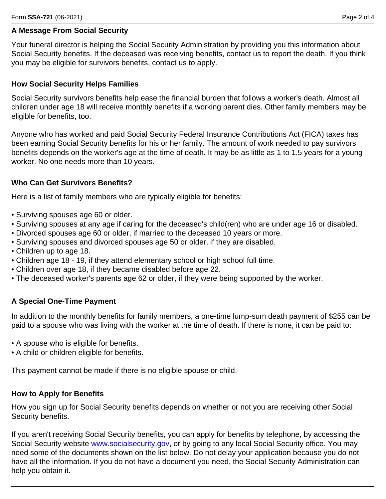## **A Message From Social Security**

Your funeral director is helping the Social Security Administration by providing you this information about Social Security benefits. If the deceased was receiving benefits, contact us to report the death. If you think you may be eligible for survivors benefits, contact us to apply.

## **How Social Security Helps Families**

Social Security survivors benefits help ease the financial burden that follows a worker's death. Almost all children under age 18 will receive monthly benefits if a working parent dies. Other family members may be eligible for benefits, too.

Anyone who has worked and paid Social Security Federal Insurance Contributions Act (FICA) taxes has been earning Social Security benefits for his or her family. The amount of work needed to pay survivors benefits depends on the worker's age at the time of death. It may be as little as 1 to 1.5 years for a young worker. No one needs more than 10 years.

## **Who Can Get Survivors Benefits?**

Here is a list of family members who are typically eligible for benefits:

- Surviving spouses age 60 or older.
- Surviving spouses at any age if caring for the deceased's child(ren) who are under age 16 or disabled.
- Divorced spouses age 60 or older, if married to the deceased 10 years or more.
- Surviving spouses and divorced spouses age 50 or older, if they are disabled.
- Children up to age 18.
- Children age 18 19, if they attend elementary school or high school full time.
- Children over age 18, if they became disabled before age 22.
- The deceased worker's parents age 62 or older, if they were being supported by the worker.

# **A Special One-Time Payment**

In addition to the monthly benefits for family members, a one-time lump-sum death payment of \$255 can be paid to a spouse who was living with the worker at the time of death. If there is none, it can be paid to:

- A spouse who is eligible for benefits.
- A child or children eligible for benefits.

This payment cannot be made if there is no eligible spouse or child.

#### **How to Apply for Benefits**

How you sign up for Social Security benefits depends on whether or not you are receiving other Social Security benefits.

If you aren't receiving Social Security benefits, you can apply for benefits by telephone, by accessing the Social Security website [www.socialsecurity.gov,](www.socialsecurity.gov) or by going to any local Social Security office. You may need some of the documents shown on the list below. Do not delay your application because you do not have all the information. If you do not have a document you need, the Social Security Administration can help you obtain it.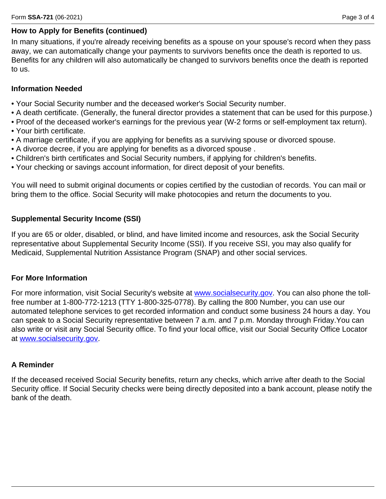# **How to Apply for Benefits (continued)**

In many situations, if you're already receiving benefits as a spouse on your spouse's record when they pass away, we can automatically change your payments to survivors benefits once the death is reported to us. Benefits for any children will also automatically be changed to survivors benefits once the death is reported to us.

## **Information Needed**

- Your Social Security number and the deceased worker's Social Security number.
- A death certificate. (Generally, the funeral director provides a statement that can be used for this purpose.)
- Proof of the deceased worker's earnings for the previous year (W-2 forms or self-employment tax return).
- Your birth certificate.
- A marriage certificate, if you are applying for benefits as a surviving spouse or divorced spouse.
- A divorce decree, if you are applying for benefits as a divorced spouse .
- Children's birth certificates and Social Security numbers, if applying for children's benefits.
- Your checking or savings account information, for direct deposit of your benefits.

You will need to submit original documents or copies certified by the custodian of records. You can mail or bring them to the office. Social Security will make photocopies and return the documents to you.

## **Supplemental Security Income (SSI)**

If you are 65 or older, disabled, or blind, and have limited income and resources, ask the Social Security representative about Supplemental Security Income (SSI). If you receive SSI, you may also qualify for Medicaid, Supplemental Nutrition Assistance Program (SNAP) and other social services.

#### **For More Information**

For more information, visit Social Security's website at<www.socialsecurity.gov>. You can also phone the tollfree number at 1-800-772-1213 (TTY 1-800-325-0778). By calling the 800 Number, you can use our automated telephone services to get recorded information and conduct some business 24 hours a day. You can speak to a Social Security representative between 7 a.m. and 7 p.m. Monday through Friday.You can also write or visit any Social Security office. To find your local office, visit our Social Security Office Locator at<www.socialsecurity.gov>.

# **A Reminder**

If the deceased received Social Security benefits, return any checks, which arrive after death to the Social Security office. If Social Security checks were being directly deposited into a bank account, please notify the bank of the death.